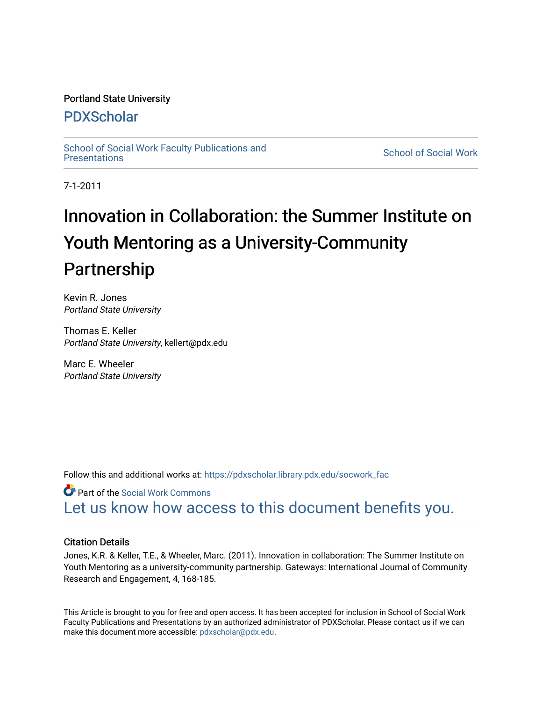# Portland State University

# [PDXScholar](https://pdxscholar.library.pdx.edu/)

School of Social Work Faculty Publications and<br>Presentations

**School of Social Work** 

7-1-2011

# Innovation in Collaboration: the Summer Institute on Youth Mentoring as a University-Community Partnership

Kevin R. Jones Portland State University

Thomas E. Keller Portland State University, kellert@pdx.edu

Marc E. Wheeler Portland State University

Follow this and additional works at: [https://pdxscholar.library.pdx.edu/socwork\\_fac](https://pdxscholar.library.pdx.edu/socwork_fac?utm_source=pdxscholar.library.pdx.edu%2Fsocwork_fac%2F69&utm_medium=PDF&utm_campaign=PDFCoverPages) 

Part of the [Social Work Commons](http://network.bepress.com/hgg/discipline/713?utm_source=pdxscholar.library.pdx.edu%2Fsocwork_fac%2F69&utm_medium=PDF&utm_campaign=PDFCoverPages) [Let us know how access to this document benefits you.](http://library.pdx.edu/services/pdxscholar-services/pdxscholar-feedback/?ref=https://pdxscholar.library.pdx.edu/socwork_fac/69) 

# Citation Details

Jones, K.R. & Keller, T.E., & Wheeler, Marc. (2011). Innovation in collaboration: The Summer Institute on Youth Mentoring as a university-community partnership. Gateways: International Journal of Community Research and Engagement, 4, 168-185.

This Article is brought to you for free and open access. It has been accepted for inclusion in School of Social Work Faculty Publications and Presentations by an authorized administrator of PDXScholar. Please contact us if we can make this document more accessible: [pdxscholar@pdx.edu.](mailto:pdxscholar@pdx.edu)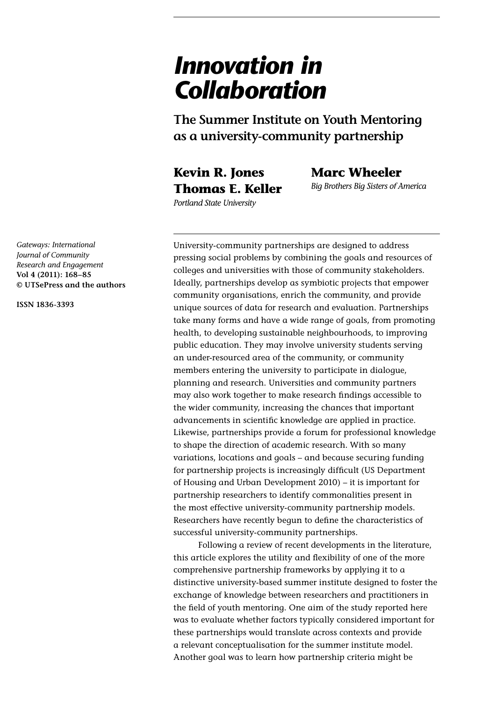# *Innovation in Collaboration*

**The Summer Institute on Youth Mentoring as a university-community partnership**

University-community partnerships are designed to address

**Kevin R. Jones Thomas E. Keller** **Marc Wheeler**

*Big Brothers Big Sisters of America*

*Portland State University*

pressing social problems by combining the goals and resources of colleges and universities with those of community stakeholders. Ideally, partnerships develop as symbiotic projects that empower community organisations, enrich the community, and provide unique sources of data for research and evaluation. Partnerships take many forms and have a wide range of goals, from promoting health, to developing sustainable neighbourhoods, to improving public education. They may involve university students serving an under-resourced area of the community, or community members entering the university to participate in dialogue, planning and research. Universities and community partners may also work together to make research findings accessible to the wider community, increasing the chances that important advancements in scientific knowledge are applied in practice. Likewise, partnerships provide a forum for professional knowledge to shape the direction of academic research. With so many variations, locations and goals – and because securing funding for partnership projects is increasingly difficult (US Department of Housing and Urban Development 2010) – it is important for partnership researchers to identify commonalities present in the most effective university-community partnership models.

successful university-community partnerships.

Following a review of recent developments in the literature, this article explores the utility and flexibility of one of the more comprehensive partnership frameworks by applying it to a distinctive university-based summer institute designed to foster the exchange of knowledge between researchers and practitioners in the field of youth mentoring. One aim of the study reported here was to evaluate whether factors typically considered important for these partnerships would translate across contexts and provide a relevant conceptualisation for the summer institute model. Another goal was to learn how partnership criteria might be

Researchers have recently begun to define the characteristics of

*Gateways: International Journal of Community Research and Engagement* **Vol 4 (2011): 168–85 © UTSePress and the authors**

**ISSN 1836-3393**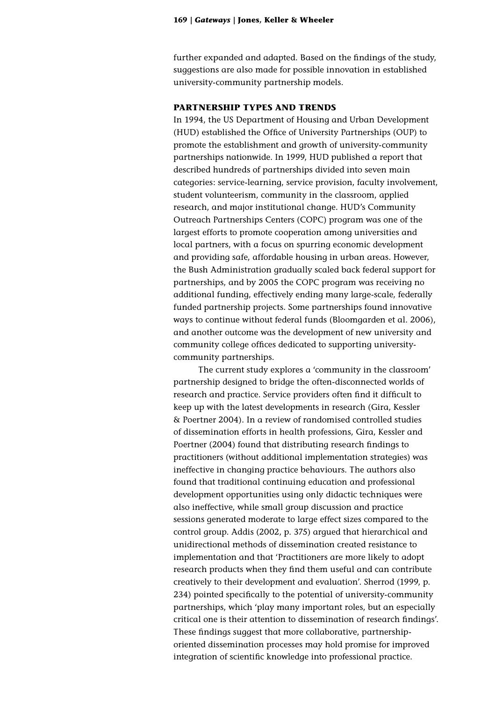further expanded and adapted. Based on the findings of the study, suggestions are also made for possible innovation in established university-community partnership models.

# **PARTNERSHIP TYPES AND TRENDS**

In 1994, the US Department of Housing and Urban Development (HUD) established the Office of University Partnerships (OUP) to promote the establishment and growth of university-community partnerships nationwide. In 1999, HUD published a report that described hundreds of partnerships divided into seven main categories: service-learning, service provision, faculty involvement, student volunteerism, community in the classroom, applied research, and major institutional change. HUD's Community Outreach Partnerships Centers (COPC) program was one of the largest efforts to promote cooperation among universities and local partners, with a focus on spurring economic development and providing safe, affordable housing in urban areas. However, the Bush Administration gradually scaled back federal support for partnerships, and by 2005 the COPC program was receiving no additional funding, effectively ending many large-scale, federally funded partnership projects. Some partnerships found innovative ways to continue without federal funds (Bloomgarden et al. 2006), and another outcome was the development of new university and community college offices dedicated to supporting universitycommunity partnerships.

The current study explores a 'community in the classroom' partnership designed to bridge the often-disconnected worlds of research and practice. Service providers often find it difficult to keep up with the latest developments in research (Gira, Kessler & Poertner 2004). In a review of randomised controlled studies of dissemination efforts in health professions, Gira, Kessler and Poertner (2004) found that distributing research findings to practitioners (without additional implementation strategies) was ineffective in changing practice behaviours. The authors also found that traditional continuing education and professional development opportunities using only didactic techniques were also ineffective, while small group discussion and practice sessions generated moderate to large effect sizes compared to the control group. Addis (2002, p. 375) argued that hierarchical and unidirectional methods of dissemination created resistance to implementation and that 'Practitioners are more likely to adopt research products when they find them useful and can contribute creatively to their development and evaluation'. Sherrod (1999, p. 234) pointed specifically to the potential of university-community partnerships, which 'play many important roles, but an especially critical one is their attention to dissemination of research findings'. These findings suggest that more collaborative, partnershiporiented dissemination processes may hold promise for improved integration of scientific knowledge into professional practice.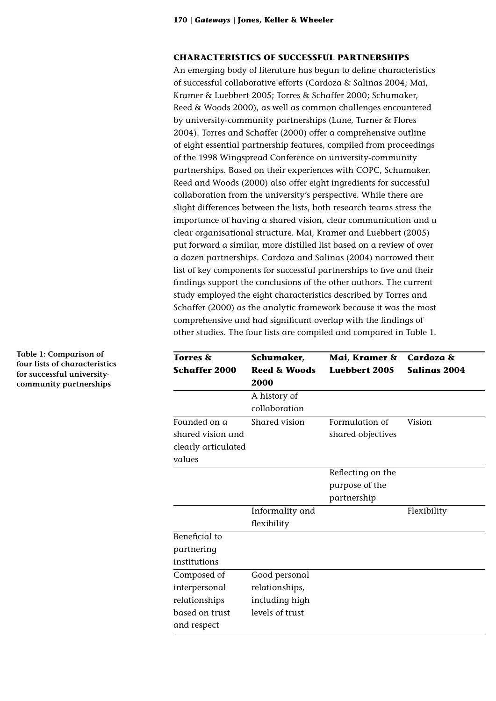# **CHARACTERISTICS OF SUCCESSFUL PARTNERSHIPS**

An emerging body of literature has begun to define characteristics of successful collaborative efforts (Cardoza & Salinas 2004; Mai, Kramer & Luebbert 2005; Torres & Schaffer 2000; Schumaker, Reed & Woods 2000), as well as common challenges encountered by university-community partnerships (Lane, Turner & Flores 2004). Torres and Schaffer (2000) offer a comprehensive outline of eight essential partnership features, compiled from proceedings of the 1998 Wingspread Conference on university-community partnerships. Based on their experiences with COPC, Schumaker, Reed and Woods (2000) also offer eight ingredients for successful collaboration from the university's perspective. While there are slight differences between the lists, both research teams stress the importance of having a shared vision, clear communication and a clear organisational structure. Mai, Kramer and Luebbert (2005) put forward a similar, more distilled list based on a review of over a dozen partnerships. Cardoza and Salinas (2004) narrowed their list of key components for successful partnerships to five and their findings support the conclusions of the other authors. The current study employed the eight characteristics described by Torres and Schaffer (2000) as the analytic framework because it was the most comprehensive and had significant overlap with the findings of other studies. The four lists are compiled and compared in Table 1.

| <b>Torres</b> &      | Schumaker,                      | Mai, Kramer &     | <b>Cardoza</b> &    |
|----------------------|---------------------------------|-------------------|---------------------|
| <b>Schaffer 2000</b> | <b>Reed &amp; Woods</b><br>2000 | Luebbert 2005     | <b>Salinas 2004</b> |
|                      | A history of<br>collaboration   |                   |                     |
| Founded on a         | Shared vision                   | Formulation of    | Vision              |
| shared vision and    |                                 | shared objectives |                     |
| clearly articulated  |                                 |                   |                     |
| values               |                                 |                   |                     |
|                      |                                 | Reflecting on the |                     |
|                      |                                 | purpose of the    |                     |
|                      |                                 | partnership       |                     |
|                      | Informality and                 |                   | Flexibility         |
|                      | flexibility                     |                   |                     |
| Beneficial to        |                                 |                   |                     |
| partnering           |                                 |                   |                     |
| institutions         |                                 |                   |                     |
| Composed of          | Good personal                   |                   |                     |
| interpersonal        | relationships,                  |                   |                     |
| relationships        | including high                  |                   |                     |
| based on trust       | levels of trust                 |                   |                     |
| and respect          |                                 |                   |                     |

**Table 1: Comparison of four lists of characteristics for successful universitycommunity partnerships**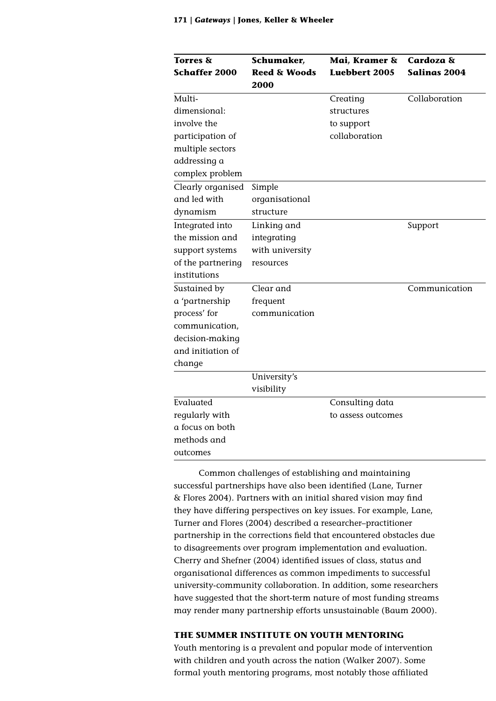| <b>Torres &amp;</b>  | Schumaker,              | Mai, Kramer &        | Cardoza &           |
|----------------------|-------------------------|----------------------|---------------------|
| <b>Schaffer 2000</b> | <b>Reed &amp; Woods</b> | <b>Luebbert 2005</b> | <b>Salinas 2004</b> |
|                      | <b>2000</b>             |                      |                     |
| Multi-               |                         | Creating             | Collaboration       |
| dimensional:         |                         | structures           |                     |
| involve the          |                         | to support           |                     |
| participation of     |                         | collaboration        |                     |
| multiple sectors     |                         |                      |                     |
| addressing a         |                         |                      |                     |
| complex problem      |                         |                      |                     |
| Clearly organised    | Simple                  |                      |                     |
| and led with         | organisational          |                      |                     |
| dynamism             | structure               |                      |                     |
| Integrated into      | Linking and             |                      | Support             |
| the mission and      | integrating             |                      |                     |
| support systems      | with university         |                      |                     |
| of the partnering    | resources               |                      |                     |
| institutions         |                         |                      |                     |
| Sustained by         | Clear and               |                      | Communication       |
| a 'partnership       | frequent                |                      |                     |
| process' for         | communication           |                      |                     |
| communication,       |                         |                      |                     |
| decision-making      |                         |                      |                     |
| and initiation of    |                         |                      |                     |
| change               |                         |                      |                     |
|                      | University's            |                      |                     |
|                      | visibility              |                      |                     |
| Evaluated            |                         | Consulting data      |                     |
| regularly with       |                         | to assess outcomes   |                     |
| a focus on both      |                         |                      |                     |
| methods and          |                         |                      |                     |
| outcomes             |                         |                      |                     |

Common challenges of establishing and maintaining successful partnerships have also been identified (Lane, Turner & Flores 2004). Partners with an initial shared vision may find they have differing perspectives on key issues. For example, Lane, Turner and Flores (2004) described a researcher–practitioner partnership in the corrections field that encountered obstacles due to disagreements over program implementation and evaluation. Cherry and Shefner (2004) identified issues of class, status and organisational differences as common impediments to successful university-community collaboration. In addition, some researchers have suggested that the short-term nature of most funding streams may render many partnership efforts unsustainable (Baum 2000).

# **THE SUMMER INSTITUTE ON YOUTH MENTORING**

Youth mentoring is a prevalent and popular mode of intervention with children and youth across the nation (Walker 2007). Some formal youth mentoring programs, most notably those affiliated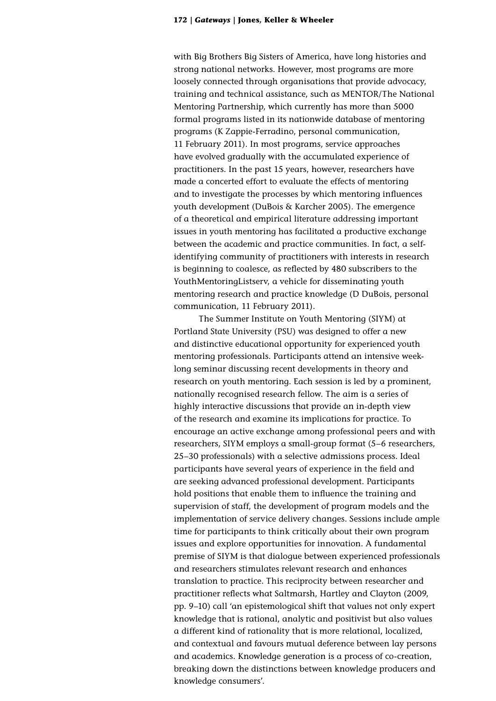with Big Brothers Big Sisters of America, have long histories and strong national networks. However, most programs are more loosely connected through organisations that provide advocacy, training and technical assistance, such as MENTOR/The National Mentoring Partnership, which currently has more than 5000 formal programs listed in its nationwide database of mentoring programs (K Zappie-Ferradino, personal communication, 11 February 2011). In most programs, service approaches have evolved gradually with the accumulated experience of practitioners. In the past 15 years, however, researchers have made a concerted effort to evaluate the effects of mentoring and to investigate the processes by which mentoring influences youth development (DuBois & Karcher 2005). The emergence of a theoretical and empirical literature addressing important issues in youth mentoring has facilitated a productive exchange between the academic and practice communities. In fact, a selfidentifying community of practitioners with interests in research is beginning to coalesce, as reflected by 480 subscribers to the YouthMentoringListserv, a vehicle for disseminating youth mentoring research and practice knowledge (D DuBois, personal communication, 11 February 2011).

The Summer Institute on Youth Mentoring (SIYM) at Portland State University (PSU) was designed to offer a new and distinctive educational opportunity for experienced youth mentoring professionals. Participants attend an intensive weeklong seminar discussing recent developments in theory and research on youth mentoring. Each session is led by a prominent, nationally recognised research fellow. The aim is a series of highly interactive discussions that provide an in-depth view of the research and examine its implications for practice. To encourage an active exchange among professional peers and with researchers, SIYM employs a small-group format (5–6 researchers, 25–30 professionals) with a selective admissions process. Ideal participants have several years of experience in the field and are seeking advanced professional development. Participants hold positions that enable them to influence the training and supervision of staff, the development of program models and the implementation of service delivery changes. Sessions include ample time for participants to think critically about their own program issues and explore opportunities for innovation. A fundamental premise of SIYM is that dialogue between experienced professionals and researchers stimulates relevant research and enhances translation to practice. This reciprocity between researcher and practitioner reflects what Saltmarsh, Hartley and Clayton (2009, pp. 9–10) call 'an epistemological shift that values not only expert knowledge that is rational, analytic and positivist but also values a different kind of rationality that is more relational, localized, and contextual and favours mutual deference between lay persons and academics. Knowledge generation is a process of co-creation, breaking down the distinctions between knowledge producers and knowledge consumers'.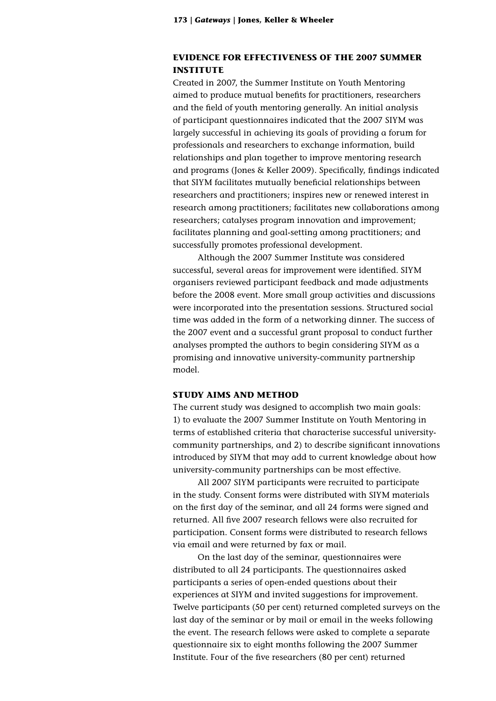# **EVIDENCE FOR EFFECTIVENESS OF THE 2007 SUMMER INSTITUTE**

Created in 2007, the Summer Institute on Youth Mentoring aimed to produce mutual benefits for practitioners, researchers and the field of youth mentoring generally. An initial analysis of participant questionnaires indicated that the 2007 SIYM was largely successful in achieving its goals of providing a forum for professionals and researchers to exchange information, build relationships and plan together to improve mentoring research and programs (Jones & Keller 2009). Specifically, findings indicated that SIYM facilitates mutually beneficial relationships between researchers and practitioners; inspires new or renewed interest in research among practitioners; facilitates new collaborations among researchers; catalyses program innovation and improvement; facilitates planning and goal-setting among practitioners; and successfully promotes professional development.

Although the 2007 Summer Institute was considered successful, several areas for improvement were identified. SIYM organisers reviewed participant feedback and made adjustments before the 2008 event. More small group activities and discussions were incorporated into the presentation sessions. Structured social time was added in the form of a networking dinner. The success of the 2007 event and a successful grant proposal to conduct further analyses prompted the authors to begin considering SIYM as a promising and innovative university-community partnership model.

## **STUDY AIMS AND METHOD**

The current study was designed to accomplish two main goals: 1) to evaluate the 2007 Summer Institute on Youth Mentoring in terms of established criteria that characterise successful universitycommunity partnerships, and 2) to describe significant innovations introduced by SIYM that may add to current knowledge about how university-community partnerships can be most effective.

All 2007 SIYM participants were recruited to participate in the study. Consent forms were distributed with SIYM materials on the first day of the seminar, and all 24 forms were signed and returned. All five 2007 research fellows were also recruited for participation. Consent forms were distributed to research fellows via email and were returned by fax or mail.

On the last day of the seminar, questionnaires were distributed to all 24 participants. The questionnaires asked participants a series of open-ended questions about their experiences at SIYM and invited suggestions for improvement. Twelve participants (50 per cent) returned completed surveys on the last day of the seminar or by mail or email in the weeks following the event. The research fellows were asked to complete a separate questionnaire six to eight months following the 2007 Summer Institute. Four of the five researchers (80 per cent) returned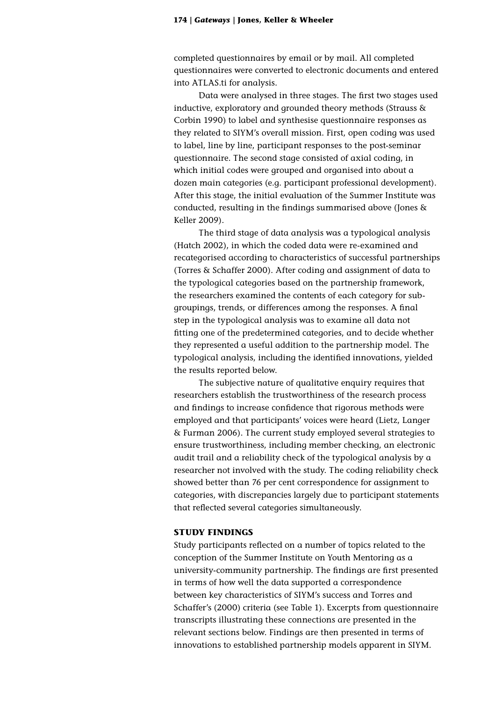completed questionnaires by email or by mail. All completed questionnaires were converted to electronic documents and entered into ATLAS.ti for analysis.

Data were analysed in three stages. The first two stages used inductive, exploratory and grounded theory methods (Strauss & Corbin 1990) to label and synthesise questionnaire responses as they related to SIYM's overall mission. First, open coding was used to label, line by line, participant responses to the post-seminar questionnaire. The second stage consisted of axial coding, in which initial codes were grouped and organised into about a dozen main categories (e.g. participant professional development). After this stage, the initial evaluation of the Summer Institute was conducted, resulting in the findings summarised above (Jones & Keller 2009).

The third stage of data analysis was a typological analysis (Hatch 2002), in which the coded data were re-examined and recategorised according to characteristics of successful partnerships (Torres & Schaffer 2000). After coding and assignment of data to the typological categories based on the partnership framework, the researchers examined the contents of each category for subgroupings, trends, or differences among the responses. A final step in the typological analysis was to examine all data not fitting one of the predetermined categories, and to decide whether they represented a useful addition to the partnership model. The typological analysis, including the identified innovations, yielded the results reported below.

The subjective nature of qualitative enquiry requires that researchers establish the trustworthiness of the research process and findings to increase confidence that rigorous methods were employed and that participants' voices were heard (Lietz, Langer & Furman 2006). The current study employed several strategies to ensure trustworthiness, including member checking, an electronic audit trail and a reliability check of the typological analysis by a researcher not involved with the study. The coding reliability check showed better than 76 per cent correspondence for assignment to categories, with discrepancies largely due to participant statements that reflected several categories simultaneously.

# **STUDY FINDINGS**

Study participants reflected on a number of topics related to the conception of the Summer Institute on Youth Mentoring as a university-community partnership. The findings are first presented in terms of how well the data supported a correspondence between key characteristics of SIYM's success and Torres and Schaffer's (2000) criteria (see Table 1). Excerpts from questionnaire transcripts illustrating these connections are presented in the relevant sections below. Findings are then presented in terms of innovations to established partnership models apparent in SIYM.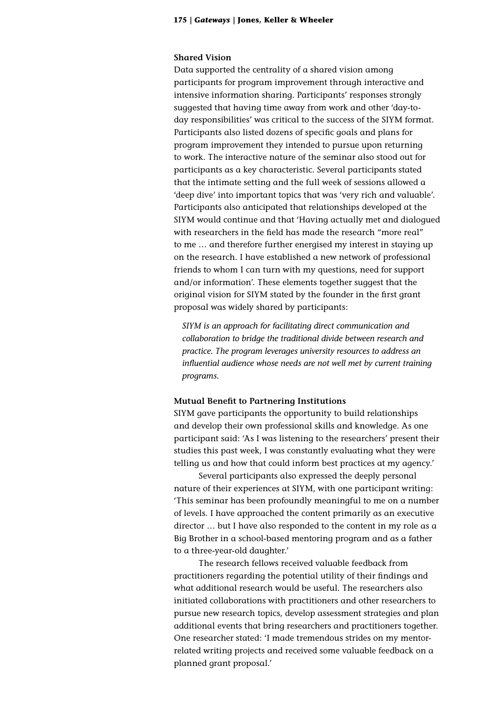### **Shared Vision**

Data supported the centrality of a shared vision among participants for program improvement through interactive and intensive information sharing. Participants' responses strongly suggested that having time away from work and other 'day-today responsibilities' was critical to the success of the SIYM format. Participants also listed dozens of specific goals and plans for program improvement they intended to pursue upon returning to work. The interactive nature of the seminar also stood out for participants as a key characteristic. Several participants stated that the intimate setting and the full week of sessions allowed a 'deep dive' into important topics that was 'very rich and valuable'. Participants also anticipated that relationships developed at the SIYM would continue and that 'Having actually met and dialogued with researchers in the field has made the research "more real" to me … and therefore further energised my interest in staying up on the research. I have established a new network of professional friends to whom I can turn with my questions, need for support and/or information'. These elements together suggest that the original vision for SIYM stated by the founder in the first grant proposal was widely shared by participants:

*SIYM is an approach for facilitating direct communication and collaboration to bridge the traditional divide between research and practice. The program leverages university resources to address an influential audience whose needs are not well met by current training programs.*

# **Mutual Benefit to Partnering Institutions**

SIYM gave participants the opportunity to build relationships and develop their own professional skills and knowledge. As one participant said: 'As I was listening to the researchers' present their studies this past week, I was constantly evaluating what they were telling us and how that could inform best practices at my agency.'

Several participants also expressed the deeply personal nature of their experiences at SIYM, with one participant writing: 'This seminar has been profoundly meaningful to me on a number of levels. I have approached the content primarily as an executive director … but I have also responded to the content in my role as a Big Brother in a school-based mentoring program and as a father to a three-year-old daughter.'

The research fellows received valuable feedback from practitioners regarding the potential utility of their findings and what additional research would be useful. The researchers also initiated collaborations with practitioners and other researchers to pursue new research topics, develop assessment strategies and plan additional events that bring researchers and practitioners together. One researcher stated: 'I made tremendous strides on my mentorrelated writing projects and received some valuable feedback on a planned grant proposal.'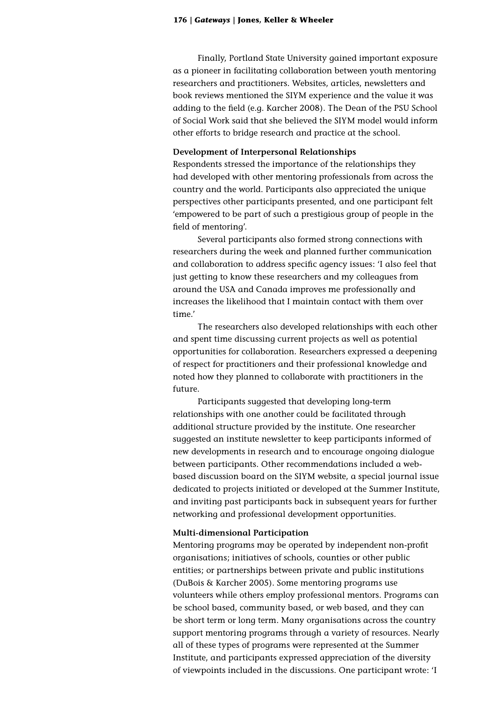Finally, Portland State University gained important exposure as a pioneer in facilitating collaboration between youth mentoring researchers and practitioners. Websites, articles, newsletters and book reviews mentioned the SIYM experience and the value it was adding to the field (e.g. Karcher 2008). The Dean of the PSU School of Social Work said that she believed the SIYM model would inform other efforts to bridge research and practice at the school.

# **Development of Interpersonal Relationships**

Respondents stressed the importance of the relationships they had developed with other mentoring professionals from across the country and the world. Participants also appreciated the unique perspectives other participants presented, and one participant felt 'empowered to be part of such a prestigious group of people in the field of mentoring'.

Several participants also formed strong connections with researchers during the week and planned further communication and collaboration to address specific agency issues: 'I also feel that just getting to know these researchers and my colleagues from around the USA and Canada improves me professionally and increases the likelihood that I maintain contact with them over time.'

The researchers also developed relationships with each other and spent time discussing current projects as well as potential opportunities for collaboration. Researchers expressed a deepening of respect for practitioners and their professional knowledge and noted how they planned to collaborate with practitioners in the future.

Participants suggested that developing long-term relationships with one another could be facilitated through additional structure provided by the institute. One researcher suggested an institute newsletter to keep participants informed of new developments in research and to encourage ongoing dialogue between participants. Other recommendations included a webbased discussion board on the SIYM website, a special journal issue dedicated to projects initiated or developed at the Summer Institute, and inviting past participants back in subsequent years for further networking and professional development opportunities.

# **Multi-dimensional Participation**

Mentoring programs may be operated by independent non-profit organisations; initiatives of schools, counties or other public entities; or partnerships between private and public institutions (DuBois & Karcher 2005). Some mentoring programs use volunteers while others employ professional mentors. Programs can be school based, community based, or web based, and they can be short term or long term. Many organisations across the country support mentoring programs through a variety of resources. Nearly all of these types of programs were represented at the Summer Institute, and participants expressed appreciation of the diversity of viewpoints included in the discussions. One participant wrote: 'I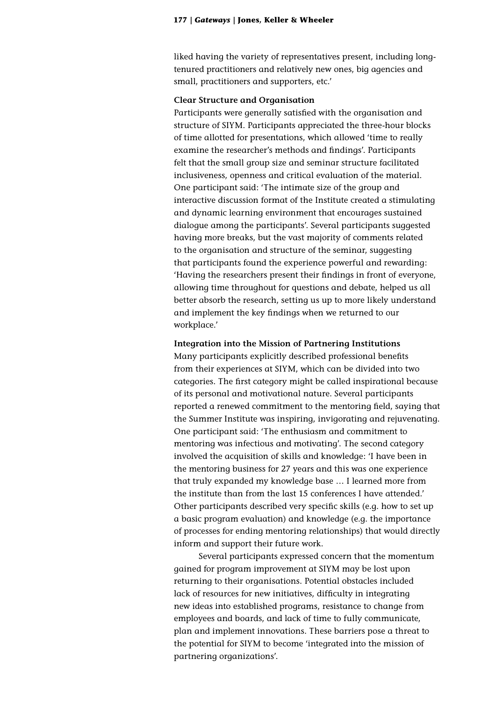liked having the variety of representatives present, including longtenured practitioners and relatively new ones, big agencies and small, practitioners and supporters, etc.'

### **Clear Structure and Organisation**

Participants were generally satisfied with the organisation and structure of SIYM. Participants appreciated the three-hour blocks of time allotted for presentations, which allowed 'time to really examine the researcher's methods and findings'. Participants felt that the small group size and seminar structure facilitated inclusiveness, openness and critical evaluation of the material. One participant said: 'The intimate size of the group and interactive discussion format of the Institute created a stimulating and dynamic learning environment that encourages sustained dialogue among the participants'. Several participants suggested having more breaks, but the vast majority of comments related to the organisation and structure of the seminar, suggesting that participants found the experience powerful and rewarding: 'Having the researchers present their findings in front of everyone, allowing time throughout for questions and debate, helped us all better absorb the research, setting us up to more likely understand and implement the key findings when we returned to our workplace.'

## **Integration into the Mission of Partnering Institutions**

Many participants explicitly described professional benefits from their experiences at SIYM, which can be divided into two categories. The first category might be called inspirational because of its personal and motivational nature. Several participants reported a renewed commitment to the mentoring field, saying that the Summer Institute was inspiring, invigorating and rejuvenating. One participant said: 'The enthusiasm and commitment to mentoring was infectious and motivating'. The second category involved the acquisition of skills and knowledge: 'I have been in the mentoring business for 27 years and this was one experience that truly expanded my knowledge base … I learned more from the institute than from the last 15 conferences I have attended.' Other participants described very specific skills (e.g. how to set up a basic program evaluation) and knowledge (e.g. the importance of processes for ending mentoring relationships) that would directly inform and support their future work.

Several participants expressed concern that the momentum gained for program improvement at SIYM may be lost upon returning to their organisations. Potential obstacles included lack of resources for new initiatives, difficulty in integrating new ideas into established programs, resistance to change from employees and boards, and lack of time to fully communicate, plan and implement innovations. These barriers pose a threat to the potential for SIYM to become 'integrated into the mission of partnering organizations'.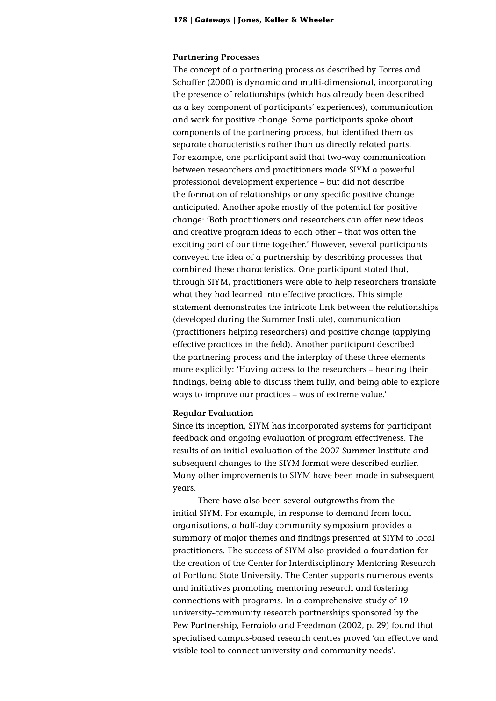### **Partnering Processes**

The concept of a partnering process as described by Torres and Schaffer (2000) is dynamic and multi-dimensional, incorporating the presence of relationships (which has already been described as a key component of participants' experiences), communication and work for positive change. Some participants spoke about components of the partnering process, but identified them as separate characteristics rather than as directly related parts. For example, one participant said that two-way communication between researchers and practitioners made SIYM a powerful professional development experience – but did not describe the formation of relationships or any specific positive change anticipated. Another spoke mostly of the potential for positive change: 'Both practitioners and researchers can offer new ideas and creative program ideas to each other – that was often the exciting part of our time together.' However, several participants conveyed the idea of a partnership by describing processes that combined these characteristics. One participant stated that, through SIYM, practitioners were able to help researchers translate what they had learned into effective practices. This simple statement demonstrates the intricate link between the relationships (developed during the Summer Institute), communication (practitioners helping researchers) and positive change (applying effective practices in the field). Another participant described the partnering process and the interplay of these three elements more explicitly: 'Having access to the researchers – hearing their findings, being able to discuss them fully, and being able to explore ways to improve our practices – was of extreme value.'

## **Regular Evaluation**

Since its inception, SIYM has incorporated systems for participant feedback and ongoing evaluation of program effectiveness. The results of an initial evaluation of the 2007 Summer Institute and subsequent changes to the SIYM format were described earlier. Many other improvements to SIYM have been made in subsequent years.

There have also been several outgrowths from the initial SIYM. For example, in response to demand from local organisations, a half-day community symposium provides a summary of major themes and findings presented at SIYM to local practitioners. The success of SIYM also provided a foundation for the creation of the Center for Interdisciplinary Mentoring Research at Portland State University. The Center supports numerous events and initiatives promoting mentoring research and fostering connections with programs. In a comprehensive study of 19 university-community research partnerships sponsored by the Pew Partnership, Ferraiolo and Freedman (2002, p. 29) found that specialised campus-based research centres proved 'an effective and visible tool to connect university and community needs'.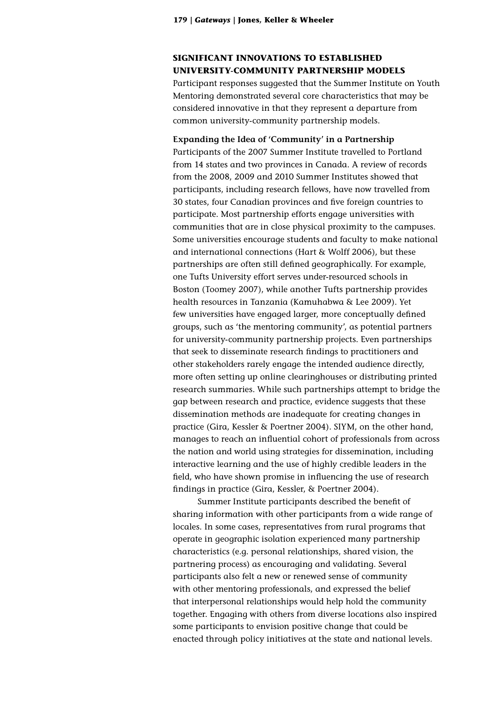# **SIGNIFICANT INNOVATIONS TO ESTABLISHED UNIVERSITY-COMMUNITY PARTNERSHIP MODELS**

Participant responses suggested that the Summer Institute on Youth Mentoring demonstrated several core characteristics that may be considered innovative in that they represent a departure from common university-community partnership models.

# **Expanding the Idea of 'Community' in a Partnership** Participants of the 2007 Summer Institute travelled to Portland from 14 states and two provinces in Canada. A review of records from the 2008, 2009 and 2010 Summer Institutes showed that participants, including research fellows, have now travelled from 30 states, four Canadian provinces and five foreign countries to participate. Most partnership efforts engage universities with communities that are in close physical proximity to the campuses. Some universities encourage students and faculty to make national and international connections (Hart & Wolff 2006), but these partnerships are often still defined geographically. For example, one Tufts University effort serves under-resourced schools in Boston (Toomey 2007), while another Tufts partnership provides health resources in Tanzania (Kamuhabwa & Lee 2009). Yet few universities have engaged larger, more conceptually defined groups, such as 'the mentoring community', as potential partners for university-community partnership projects. Even partnerships that seek to disseminate research findings to practitioners and other stakeholders rarely engage the intended audience directly, more often setting up online clearinghouses or distributing printed research summaries. While such partnerships attempt to bridge the gap between research and practice, evidence suggests that these dissemination methods are inadequate for creating changes in practice (Gira, Kessler & Poertner 2004). SIYM, on the other hand, manages to reach an influential cohort of professionals from across the nation and world using strategies for dissemination, including

interactive learning and the use of highly credible leaders in the field, who have shown promise in influencing the use of research findings in practice (Gira, Kessler, & Poertner 2004).

Summer Institute participants described the benefit of sharing information with other participants from a wide range of locales. In some cases, representatives from rural programs that operate in geographic isolation experienced many partnership characteristics (e.g. personal relationships, shared vision, the partnering process) as encouraging and validating. Several participants also felt a new or renewed sense of community with other mentoring professionals, and expressed the belief that interpersonal relationships would help hold the community together. Engaging with others from diverse locations also inspired some participants to envision positive change that could be enacted through policy initiatives at the state and national levels.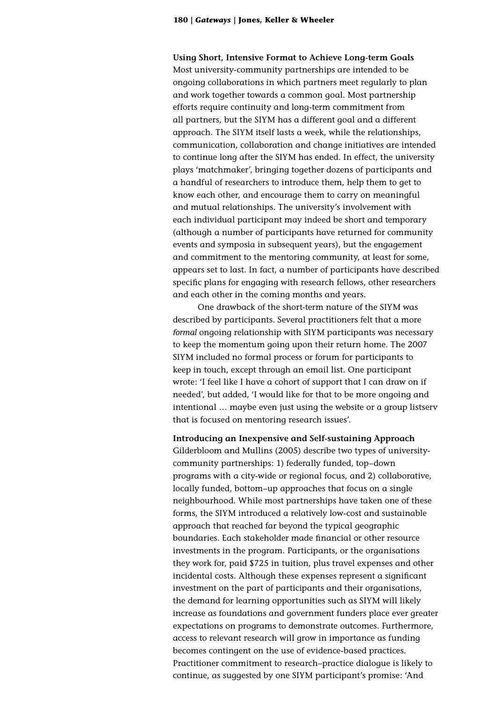**Using Short, Intensive Format to Achieve Long-term Goals** Most university-community partnerships are intended to be ongoing collaborations in which partners meet regularly to plan and work together towards a common goal. Most partnership efforts require continuity and long-term commitment from all partners, but the SIYM has a different goal and a different approach. The SIYM itself lasts a week, while the relationships, communication, collaboration and change initiatives are intended to continue long after the SIYM has ended. In effect, the university plays 'matchmaker', bringing together dozens of participants and a handful of researchers to introduce them, help them to get to know each other, and encourage them to carry on meaningful and mutual relationships. The university's involvement with each individual participant may indeed be short and temporary (although a number of participants have returned for community events and symposia in subsequent years), but the engagement and commitment to the mentoring community, at least for some, appears set to last. In fact, a number of participants have described specific plans for engaging with research fellows, other researchers and each other in the coming months and years.

One drawback of the short-term nature of the SIYM was described by participants. Several practitioners felt that a more *formal* ongoing relationship with SIYM participants was necessary to keep the momentum going upon their return home. The 2007 SIYM included no formal process or forum for participants to keep in touch, except through an email list. One participant wrote: 'I feel like I have a cohort of support that I can draw on if needed', but added, 'I would like for that to be more ongoing and intentional … maybe even just using the website or a group listserv that is focused on mentoring research issues'.

**Introducing an Inexpensive and Self-sustaining Approach** Gilderbloom and Mullins (2005) describe two types of universitycommunity partnerships: 1) federally funded, top–down programs with a city-wide or regional focus, and 2) collaborative, locally funded, bottom–up approaches that focus on a single neighbourhood. While most partnerships have taken one of these forms, the SIYM introduced a relatively low-cost and sustainable approach that reached far beyond the typical geographic boundaries. Each stakeholder made financial or other resource investments in the program. Participants, or the organisations they work for, paid \$725 in tuition, plus travel expenses and other incidental costs. Although these expenses represent a significant investment on the part of participants and their organisations, the demand for learning opportunities such as SIYM will likely increase as foundations and government funders place ever greater expectations on programs to demonstrate outcomes. Furthermore, access to relevant research will grow in importance as funding becomes contingent on the use of evidence-based practices. Practitioner commitment to research–practice dialogue is likely to continue, as suggested by one SIYM participant's promise: 'And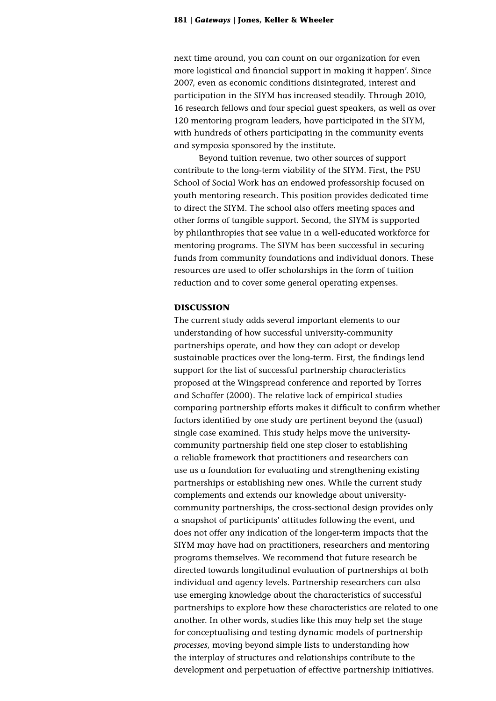next time around, you can count on our organization for even more logistical and financial support in making it happen'. Since 2007, even as economic conditions disintegrated, interest and participation in the SIYM has increased steadily. Through 2010, 16 research fellows and four special guest speakers, as well as over 120 mentoring program leaders, have participated in the SIYM, with hundreds of others participating in the community events and symposia sponsored by the institute.

Beyond tuition revenue, two other sources of support contribute to the long-term viability of the SIYM. First, the PSU School of Social Work has an endowed professorship focused on youth mentoring research. This position provides dedicated time to direct the SIYM. The school also offers meeting spaces and other forms of tangible support. Second, the SIYM is supported by philanthropies that see value in a well-educated workforce for mentoring programs. The SIYM has been successful in securing funds from community foundations and individual donors. These resources are used to offer scholarships in the form of tuition reduction and to cover some general operating expenses.

# **DISCUSSION**

The current study adds several important elements to our understanding of how successful university-community partnerships operate, and how they can adopt or develop sustainable practices over the long-term. First, the findings lend support for the list of successful partnership characteristics proposed at the Wingspread conference and reported by Torres and Schaffer (2000). The relative lack of empirical studies comparing partnership efforts makes it difficult to confirm whether factors identified by one study are pertinent beyond the (usual) single case examined. This study helps move the universitycommunity partnership field one step closer to establishing a reliable framework that practitioners and researchers can use as a foundation for evaluating and strengthening existing partnerships or establishing new ones. While the current study complements and extends our knowledge about universitycommunity partnerships, the cross-sectional design provides only a snapshot of participants' attitudes following the event, and does not offer any indication of the longer-term impacts that the SIYM may have had on practitioners, researchers and mentoring programs themselves. We recommend that future research be directed towards longitudinal evaluation of partnerships at both individual and agency levels. Partnership researchers can also use emerging knowledge about the characteristics of successful partnerships to explore how these characteristics are related to one another. In other words, studies like this may help set the stage for conceptualising and testing dynamic models of partnership *processes*, moving beyond simple lists to understanding how the interplay of structures and relationships contribute to the development and perpetuation of effective partnership initiatives.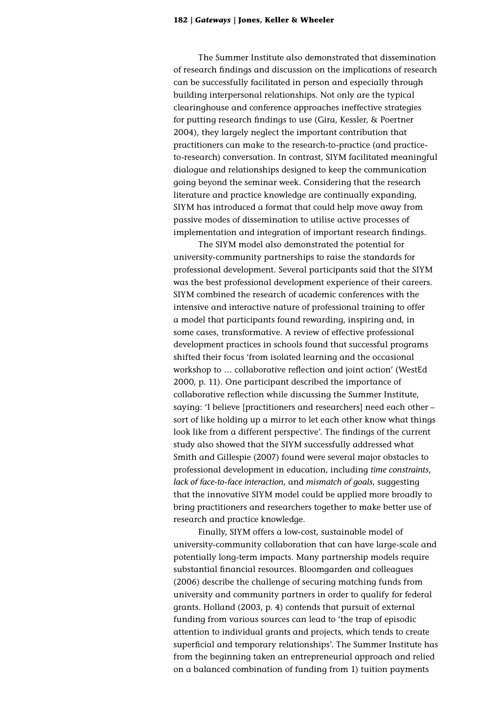The Summer Institute also demonstrated that dissemination of research findings and discussion on the implications of research can be successfully facilitated in person and especially through building interpersonal relationships. Not only are the typical clearinghouse and conference approaches ineffective strategies for putting research findings to use (Gira, Kessler, & Poertner 2004), they largely neglect the important contribution that practitioners can make to the research-to-practice (and practiceto-research) conversation. In contrast, SIYM facilitated meaningful dialogue and relationships designed to keep the communication going beyond the seminar week. Considering that the research literature and practice knowledge are continually expanding, SIYM has introduced a format that could help move away from passive modes of dissemination to utilise active processes of implementation and integration of important research findings.

The SIYM model also demonstrated the potential for university-community partnerships to raise the standards for professional development. Several participants said that the SIYM was the best professional development experience of their careers. SIYM combined the research of academic conferences with the intensive and interactive nature of professional training to offer a model that participants found rewarding, inspiring and, in some cases, transformative. A review of effective professional development practices in schools found that successful programs shifted their focus 'from isolated learning and the occasional workshop to … collaborative reflection and joint action' (WestEd 2000, p. 11). One participant described the importance of collaborative reflection while discussing the Summer Institute, saying: 'I believe [practitioners and researchers] need each other – sort of like holding up a mirror to let each other know what things look like from a different perspective'. The findings of the current study also showed that the SIYM successfully addressed what Smith and Gillespie (2007) found were several major obstacles to professional development in education, including *time constraints*, *lack of face-to-face interaction*, and *mismatch of goals*, suggesting that the innovative SIYM model could be applied more broadly to bring practitioners and researchers together to make better use of research and practice knowledge.

Finally, SIYM offers a low-cost, sustainable model of university-community collaboration that can have large-scale and potentially long-term impacts. Many partnership models require substantial financial resources. Bloomgarden and colleagues (2006) describe the challenge of securing matching funds from university and community partners in order to qualify for federal grants. Holland (2003, p. 4) contends that pursuit of external funding from various sources can lead to 'the trap of episodic attention to individual grants and projects, which tends to create superficial and temporary relationships'. The Summer Institute has from the beginning taken an entrepreneurial approach and relied on a balanced combination of funding from 1) tuition payments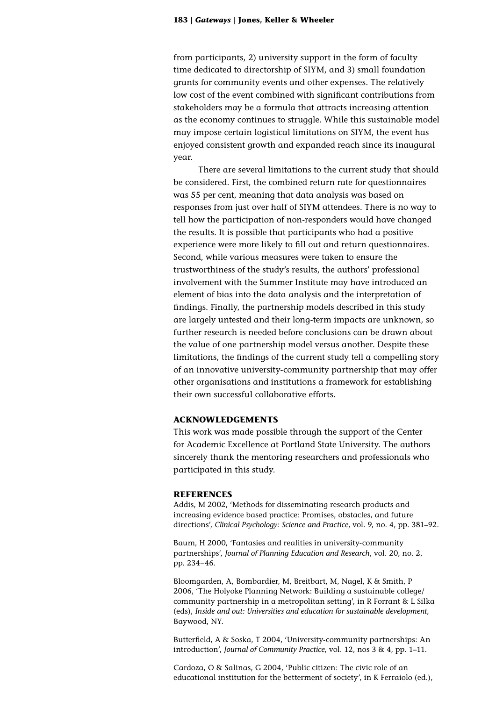from participants, 2) university support in the form of faculty time dedicated to directorship of SIYM, and 3) small foundation grants for community events and other expenses. The relatively low cost of the event combined with significant contributions from stakeholders may be a formula that attracts increasing attention as the economy continues to struggle. While this sustainable model may impose certain logistical limitations on SIYM, the event has enjoyed consistent growth and expanded reach since its inaugural year.

There are several limitations to the current study that should be considered. First, the combined return rate for questionnaires was 55 per cent, meaning that data analysis was based on responses from just over half of SIYM attendees. There is no way to tell how the participation of non-responders would have changed the results. It is possible that participants who had a positive experience were more likely to fill out and return questionnaires. Second, while various measures were taken to ensure the trustworthiness of the study's results, the authors' professional involvement with the Summer Institute may have introduced an element of bias into the data analysis and the interpretation of findings. Finally, the partnership models described in this study are largely untested and their long-term impacts are unknown, so further research is needed before conclusions can be drawn about the value of one partnership model versus another. Despite these limitations, the findings of the current study tell a compelling story of an innovative university-community partnership that may offer other organisations and institutions a framework for establishing their own successful collaborative efforts.

# **ACKNOWLEDGEMENTS**

This work was made possible through the support of the Center for Academic Excellence at Portland State University. The authors sincerely thank the mentoring researchers and professionals who participated in this study.

#### **REFERENCES**

Addis, M 2002, 'Methods for disseminating research products and increasing evidence based practice: Promises, obstacles, and future directions', *Clinical Psychology: Science and Practice*, vol. 9, no. 4, pp. 381–92.

Baum, H 2000, 'Fantasies and realities in university-community partnerships', *Journal of Planning Education and Research*, vol. 20, no. 2, pp. 234–46.

Bloomgarden, A, Bombardier, M, Breitbart, M, Nagel, K & Smith, P 2006, 'The Holyoke Planning Network: Building a sustainable college/ community partnership in a metropolitan setting', in R Forrant & L Silka (eds), *Inside and out: Universities and education for sustainable development*, Baywood, NY.

Butterfield, A & Soska, T 2004, 'University-community partnerships: An introduction', *Journal of Community Practice*, vol. 12, nos 3 & 4, pp. 1–11.

Cardoza, O & Salinas, G 2004, 'Public citizen: The civic role of an educational institution for the betterment of society', in K Ferraiolo (ed.),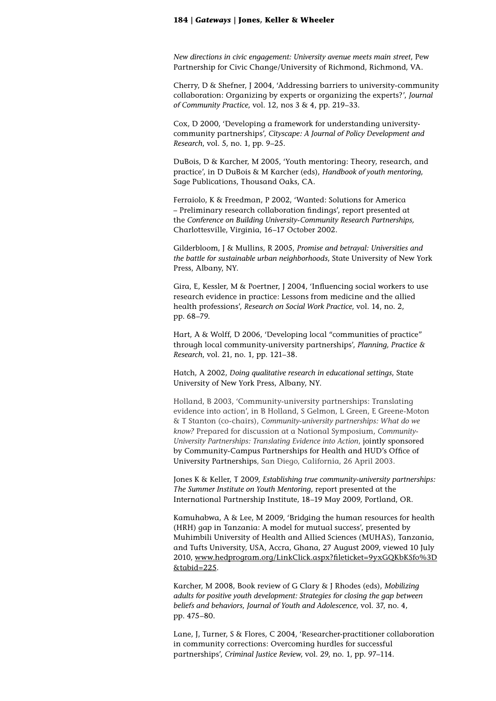*New directions in civic engagement: University avenue meets main street*, Pew Partnership for Civic Change/University of Richmond, Richmond, VA.

Cherry, D & Shefner, J 2004, 'Addressing barriers to university-community collaboration: Organizing by experts or organizing the experts?', *Journal of Community Practice*, vol. 12, nos 3 & 4, pp. 219–33.

Cox, D 2000, 'Developing a framework for understanding universitycommunity partnerships', *Cityscape: A Journal of Policy Development and Research*, vol. 5, no. 1, pp. 9–25.

DuBois, D & Karcher, M 2005, 'Youth mentoring: Theory, research, and practice', in D DuBois & M Karcher (eds), *Handbook of youth mentoring*, Sage Publications, Thousand Oaks, CA.

Ferraiolo, K & Freedman, P 2002, 'Wanted: Solutions for America – Preliminary research collaboration findings', report presented at the *Conference on Building University-Community Research Partnerships,* Charlottesville, Virginia, 16–17 October 2002.

Gilderbloom, J & Mullins, R 2005, *Promise and betrayal: Universities and the battle for sustainable urban neighborhoods*, State University of New York Press, Albany, NY.

Gira, E, Kessler, M & Poertner, J 2004, 'Influencing social workers to use research evidence in practice: Lessons from medicine and the allied health professions', *Research on Social Work Practice*, vol. 14, no. 2, pp. 68–79.

Hart, A & Wolff, D 2006, 'Developing local "communities of practice" through local community-university partnerships', *Planning, Practice & Research*, vol. 21, no. 1, pp. 121–38.

Hatch, A 2002, *Doing qualitative research in educational settings*, State University of New York Press, Albany, NY.

Holland, B 2003, 'Community-university partnerships: Translating evidence into action', in B Holland, S Gelmon, L Green, E Greene-Moton & T Stanton (co-chairs), *Community-university partnerships: What do we know?* Prepared for discussion at a National Symposium, *Community-University Partnerships: Translating Evidence into Action*, jointly sponsored by Community-Campus Partnerships for Health and HUD's Office of University Partnerships, San Diego, California, 26 April 2003.

Jones K & Keller, T 2009, *Establishing true community-university partnerships: The Summer Institute on Youth Mentoring*, report presented at the International Partnership Institute, 18–19 May 2009, Portland, OR.

Kamuhabwa, A & Lee, M 2009, 'Bridging the human resources for health (HRH) gap in Tanzania: A model for mutual success', presented by Muhimbili University of Health and Allied Sciences (MUHAS), Tanzania, and Tufts University, USA, Accra, Ghana, 27 August 2009, viewed 10 July 2010, [www.hedprogram.org/LinkClick.aspx?fileticket=9yxGQKbKSfo%3D](www.hedprogram.org/LinkClick.aspx?fileticket=9yxGQKbKSfo%3D&tabid=225) [&tabid=225](www.hedprogram.org/LinkClick.aspx?fileticket=9yxGQKbKSfo%3D&tabid=225).

Karcher, M 2008, Book review of G Clary & J Rhodes (eds), *Mobilizing adults for positive youth development: Strategies for closing the gap between beliefs and behaviors*, *Journal of Youth and Adolescence*, vol. 37, no. 4, pp. 475–80.

Lane, J, Turner, S & Flores, C 2004, 'Researcher-practitioner collaboration in community corrections: Overcoming hurdles for successful partnerships', *Criminal Justice Review*, vol. 29, no. 1, pp. 97–114.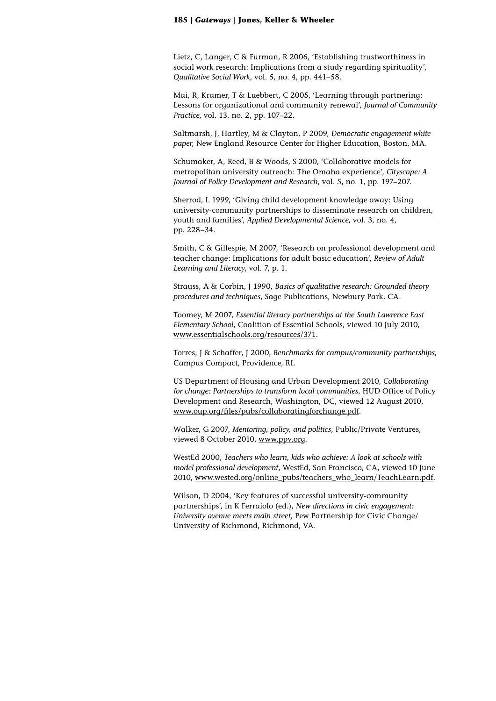Lietz, C, Langer, C & Furman, R 2006, 'Establishing trustworthiness in social work research: Implications from a study regarding spirituality', *Qualitative Social Work*, vol. 5, no. 4, pp. 441–58.

Mai, R, Kramer, T & Luebbert, C 2005, 'Learning through partnering: Lessons for organizational and community renewal', *Journal of Community Practice*, vol. 13, no. 2, pp. 107–22.

Saltmarsh, J, Hartley, M & Clayton, P 2009, *Democratic engagement white paper*, New England Resource Center for Higher Education, Boston, MA.

Schumaker, A, Reed, B & Woods, S 2000, 'Collaborative models for metropolitan university outreach: The Omaha experience', *Cityscape: A Journal of Policy Development and Research*, vol. 5, no. 1, pp. 197–207.

Sherrod, L 1999, 'Giving child development knowledge away: Using university-community partnerships to disseminate research on children, youth and families', *Applied Developmental Science*, vol. 3, no. 4, pp. 228–34.

Smith, C & Gillespie, M 2007, 'Research on professional development and teacher change: Implications for adult basic education', *Review of Adult Learning and Literacy*, vol. 7, p. 1.

Strauss, A & Corbin, J 1990, *Basics of qualitative research: Grounded theory procedures and techniques*, Sage Publications, Newbury Park, CA.

Toomey, M 2007, *Essential literacy partnerships at the South Lawrence East Elementary School*, Coalition of Essential Schools, viewed 10 July 2010, <www.essentialschools.org/resources/371>.

Torres, J & Schaffer, J 2000, *Benchmarks for campus/community partnerships*, Campus Compact, Providence, RI.

US Department of Housing and Urban Development 2010, *Collaborating for change: Partnerships to transform local communities*, HUD Office of Policy Development and Research, Washington, DC, viewed 12 August 2010, [www.oup.org/files/pubs/collaboratingforchange.pdf.](www.oup.org/files/pubs/collaboratingforchange.pdf)

Walker, G 2007, *Mentoring, policy, and politics*, Public/Private Ventures, viewed 8 October 2010, <www.ppv.org>.

WestEd 2000, *Teachers who learn, kids who achieve: A look at schools with model professional development*, WestEd, San Francisco, CA, viewed 10 June 2010, [www.wested.org/online\\_pubs/teachers\\_who\\_learn/TeachLearn.pdf](www.wested.org/online_pubs/teachers_who_learn/TeachLearn.pdf).

Wilson, D 2004, 'Key features of successful university-community partnerships', in K Ferraiolo (ed.), *New directions in civic engagement: University avenue meets main street,* Pew Partnership for Civic Change/ University of Richmond, Richmond, VA.